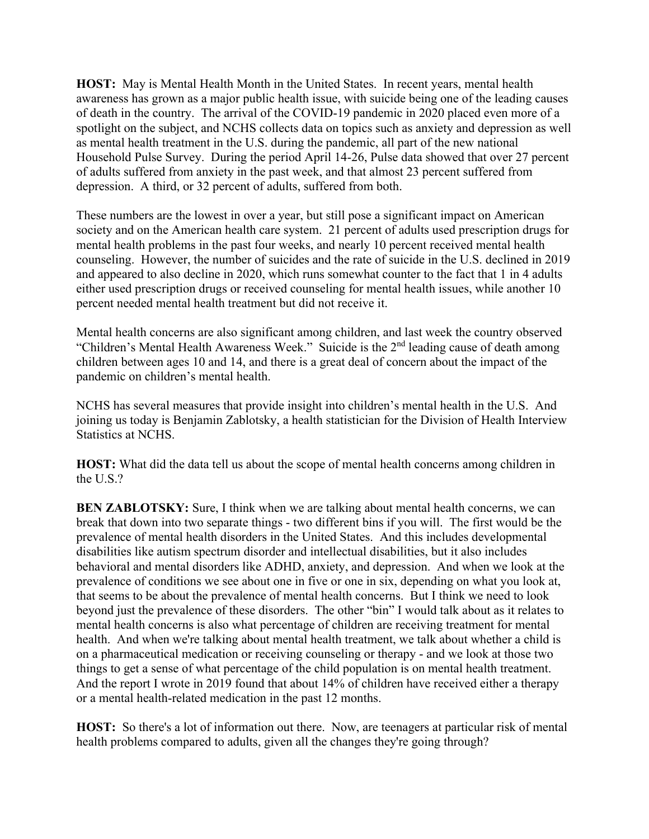**HOST:** May is Mental Health Month in the United States. In recent years, mental health awareness has grown as a major public health issue, with suicide being one of the leading causes of death in the country. The arrival of the COVID-19 pandemic in 2020 placed even more of a spotlight on the subject, and NCHS collects data on topics such as anxiety and depression as well as mental health treatment in the U.S. during the pandemic, all part of the new national Household Pulse Survey. During the period April 14-26, Pulse data showed that over 27 percent of adults suffered from anxiety in the past week, and that almost 23 percent suffered from depression. A third, or 32 percent of adults, suffered from both.

These numbers are the lowest in over a year, but still pose a significant impact on American society and on the American health care system. 21 percent of adults used prescription drugs for mental health problems in the past four weeks, and nearly 10 percent received mental health counseling. However, the number of suicides and the rate of suicide in the U.S. declined in 2019 and appeared to also decline in 2020, which runs somewhat counter to the fact that 1 in 4 adults either used prescription drugs or received counseling for mental health issues, while another 10 percent needed mental health treatment but did not receive it.

Mental health concerns are also significant among children, and last week the country observed "Children's Mental Health Awareness Week." Suicide is the 2<sup>nd</sup> leading cause of death among children between ages 10 and 14, and there is a great deal of concern about the impact of the pandemic on children's mental health.

NCHS has several measures that provide insight into children's mental health in the U.S. And joining us today is Benjamin Zablotsky, a health statistician for the Division of Health Interview Statistics at NCHS.

**HOST:** What did the data tell us about the scope of mental health concerns among children in the U.S.?

**BEN ZABLOTSKY:** Sure, I think when we are talking about mental health concerns, we can break that down into two separate things - two different bins if you will. The first would be the prevalence of mental health disorders in the United States. And this includes developmental disabilities like autism spectrum disorder and intellectual disabilities, but it also includes behavioral and mental disorders like ADHD, anxiety, and depression. And when we look at the prevalence of conditions we see about one in five or one in six, depending on what you look at, that seems to be about the prevalence of mental health concerns. But I think we need to look beyond just the prevalence of these disorders. The other "bin" I would talk about as it relates to mental health concerns is also what percentage of children are receiving treatment for mental health. And when we're talking about mental health treatment, we talk about whether a child is on a pharmaceutical medication or receiving counseling or therapy - and we look at those two things to get a sense of what percentage of the child population is on mental health treatment. And the report I wrote in 2019 found that about 14% of children have received either a therapy or a mental health-related medication in the past 12 months.

**HOST:** So there's a lot of information out there. Now, are teenagers at particular risk of mental health problems compared to adults, given all the changes they're going through?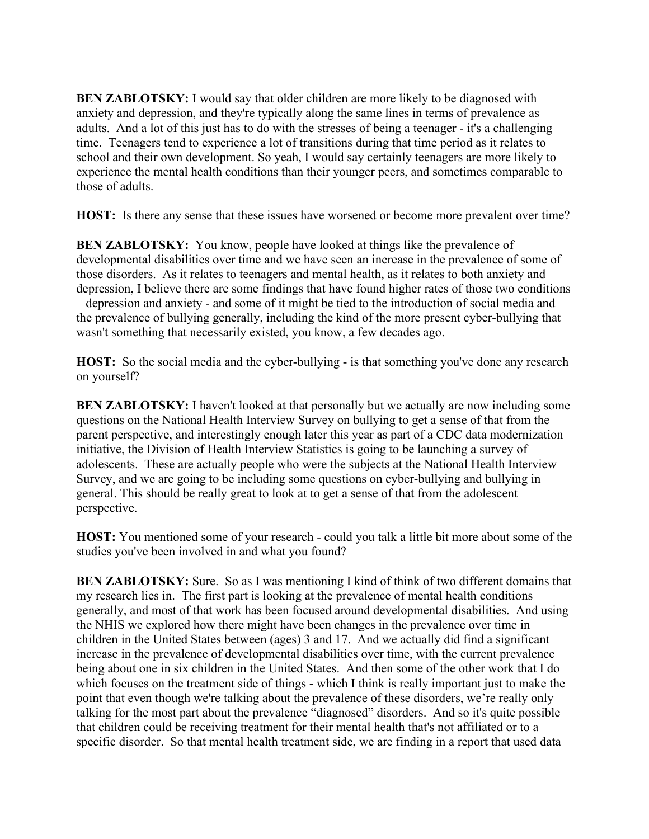**BEN ZABLOTSKY:** I would say that older children are more likely to be diagnosed with anxiety and depression, and they're typically along the same lines in terms of prevalence as adults. And a lot of this just has to do with the stresses of being a teenager - it's a challenging time. Teenagers tend to experience a lot of transitions during that time period as it relates to school and their own development. So yeah, I would say certainly teenagers are more likely to experience the mental health conditions than their younger peers, and sometimes comparable to those of adults.

**HOST:** Is there any sense that these issues have worsened or become more prevalent over time?

**BEN ZABLOTSKY:** You know, people have looked at things like the prevalence of developmental disabilities over time and we have seen an increase in the prevalence of some of those disorders. As it relates to teenagers and mental health, as it relates to both anxiety and depression, I believe there are some findings that have found higher rates of those two conditions – depression and anxiety - and some of it might be tied to the introduction of social media and the prevalence of bullying generally, including the kind of the more present cyber-bullying that wasn't something that necessarily existed, you know, a few decades ago.

**HOST:** So the social media and the cyber-bullying - is that something you've done any research on yourself?

**BEN ZABLOTSKY:** I haven't looked at that personally but we actually are now including some questions on the National Health Interview Survey on bullying to get a sense of that from the parent perspective, and interestingly enough later this year as part of a CDC data modernization initiative, the Division of Health Interview Statistics is going to be launching a survey of adolescents. These are actually people who were the subjects at the National Health Interview Survey, and we are going to be including some questions on cyber-bullying and bullying in general. This should be really great to look at to get a sense of that from the adolescent perspective.

**HOST:** You mentioned some of your research - could you talk a little bit more about some of the studies you've been involved in and what you found?

**BEN ZABLOTSKY:** Sure. So as I was mentioning I kind of think of two different domains that my research lies in. The first part is looking at the prevalence of mental health conditions generally, and most of that work has been focused around developmental disabilities. And using the NHIS we explored how there might have been changes in the prevalence over time in children in the United States between (ages) 3 and 17. And we actually did find a significant increase in the prevalence of developmental disabilities over time, with the current prevalence being about one in six children in the United States. And then some of the other work that I do which focuses on the treatment side of things - which I think is really important just to make the point that even though we're talking about the prevalence of these disorders, we're really only talking for the most part about the prevalence "diagnosed" disorders. And so it's quite possible that children could be receiving treatment for their mental health that's not affiliated or to a specific disorder. So that mental health treatment side, we are finding in a report that used data